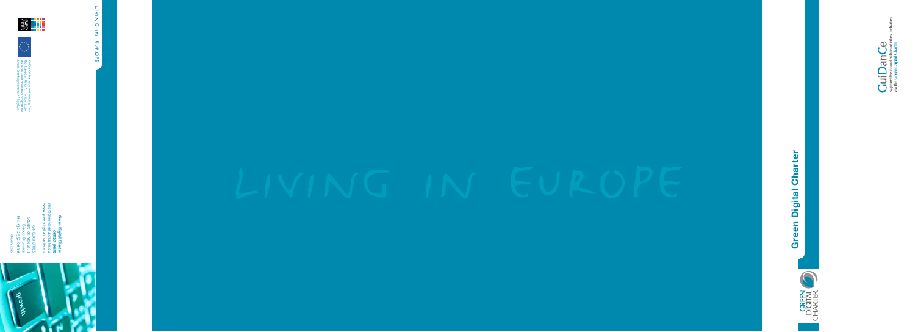



 $\displaystyle \mathop{\mathrm{GuiDandCe}}_{\text{support the coordination of citi}}$ 

LIVING IN EUROPE living in europe

**Green Digital Charter**

www.greendigitalcharter.eu info@greendigitalcharter.eu n **Digital Charter<br>contact point**<br>ligitalcharter.eu<br>ligitalcharter.eu **contact point**



c/o EUROCITIES<br>Square de Meeûs, 1<br>B-1000 Brussels<br>Tel: +32 2 552 08 88 Tel: +32 2 552 08 88 Square de Meeûs, 1 B-1000 Brussels February 2016

c/o EUROCITIES

GuiDanCe has received funding from<br>the European Union's Horizon 2020<br>research and imovation programme<br>under Grant Agreement N° 653640 under Grant Agreement N° 653640 research and innovation programme the European Union's Horizon 2020 GuiDanCe has received funding from



음료 <mark>남부</mark><br>금융 남부부